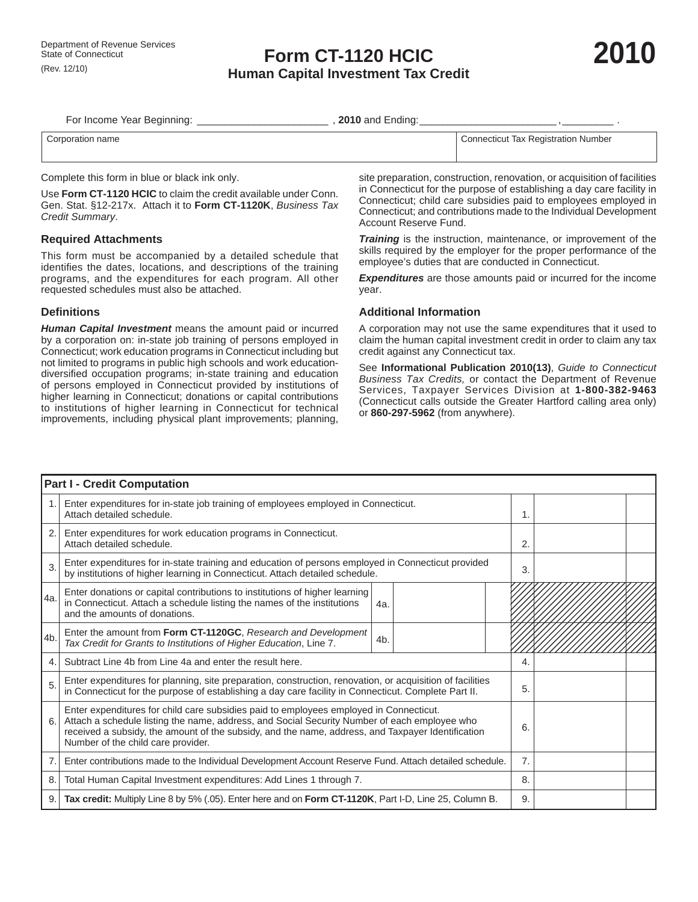For Income Year Beginning: \_\_\_\_\_\_\_\_\_\_\_\_\_\_\_\_\_\_\_\_\_\_\_ , **2010** and Ending: \_\_\_\_\_\_\_\_\_\_\_\_\_\_\_\_\_\_\_\_\_\_\_\_ , \_\_\_\_\_\_\_\_\_ .

| ≞name    | . Number                                                                        |
|----------|---------------------------------------------------------------------------------|
| `∩nn≏    | . Tax Registration                                                              |
| necticut | $\sim$ + $\sim$ + $\sim$                                                        |
|          | the contract of the contract of the contract of the contract of the contract of |

Complete this form in blue or black ink only.

Use **Form CT-1120 HCIC** to claim the credit available under Conn. Gen. Stat. §12-217x. Attach it to **Form CT-1120K**, *Business Tax Credit Summary*.

## **Required Attachments**

This form must be accompanied by a detailed schedule that identifies the dates, locations, and descriptions of the training programs, and the expenditures for each program. All other requested schedules must also be attached.

## **Defi nitions**

*Human Capital Investment* means the amount paid or incurred by a corporation on: in-state job training of persons employed in Connecticut; work education programs in Connecticut including but not limited to programs in public high schools and work educationdiversified occupation programs; in-state training and education of persons employed in Connecticut provided by institutions of higher learning in Connecticut; donations or capital contributions to institutions of higher learning in Connecticut for technical improvements, including physical plant improvements; planning,

site preparation, construction, renovation, or acquisition of facilities in Connecticut for the purpose of establishing a day care facility in Connecticut; child care subsidies paid to employees employed in Connecticut; and contributions made to the Individual Development Account Reserve Fund.

*Training* is the instruction, maintenance, or improvement of the skills required by the employer for the proper performance of the employee's duties that are conducted in Connecticut.

*Expenditures* are those amounts paid or incurred for the income year.

## **Additional Information**

A corporation may not use the same expenditures that it used to claim the human capital investment credit in order to claim any tax credit against any Connecticut tax.

See **Informational Publication 2010(13)**, *Guide to Connecticut Business Tax Credits,* or contact the Department of Revenue Services, Taxpayer Services Division at **1-800-382-9463** (Connecticut calls outside the Greater Hartford calling area only) or **860-297-5962** (from anywhere).

| <b>Part I - Credit Computation</b> |                                                                                                                                                                                                                                                                                                                                   |                  |  |    |  |  |
|------------------------------------|-----------------------------------------------------------------------------------------------------------------------------------------------------------------------------------------------------------------------------------------------------------------------------------------------------------------------------------|------------------|--|----|--|--|
|                                    | Enter expenditures for in-state job training of employees employed in Connecticut.<br>Attach detailed schedule.                                                                                                                                                                                                                   |                  |  |    |  |  |
| 2.                                 | Enter expenditures for work education programs in Connecticut.<br>Attach detailed schedule.                                                                                                                                                                                                                                       |                  |  | 2. |  |  |
| 3.                                 | Enter expenditures for in-state training and education of persons employed in Connecticut provided<br>by institutions of higher learning in Connecticut. Attach detailed schedule.                                                                                                                                                |                  |  |    |  |  |
| l4a.                               | Enter donations or capital contributions to institutions of higher learning<br>in Connecticut. Attach a schedule listing the names of the institutions<br>and the amounts of donations.                                                                                                                                           | 4a.              |  |    |  |  |
| 4b.                                | Enter the amount from Form CT-1120GC, Research and Development<br>Tax Credit for Grants to Institutions of Higher Education, Line 7.                                                                                                                                                                                              | 4 <sub>b</sub> . |  |    |  |  |
| 4                                  | Subtract Line 4b from Line 4a and enter the result here.                                                                                                                                                                                                                                                                          |                  |  |    |  |  |
| 5                                  | Enter expenditures for planning, site preparation, construction, renovation, or acquisition of facilities<br>in Connecticut for the purpose of establishing a day care facility in Connecticut. Complete Part II.                                                                                                                 |                  |  |    |  |  |
| 6.                                 | Enter expenditures for child care subsidies paid to employees employed in Connecticut.<br>Attach a schedule listing the name, address, and Social Security Number of each employee who<br>received a subsidy, the amount of the subsidy, and the name, address, and Taxpayer Identification<br>Number of the child care provider. |                  |  |    |  |  |
| 7.                                 | Enter contributions made to the Individual Development Account Reserve Fund. Attach detailed schedule.                                                                                                                                                                                                                            |                  |  |    |  |  |
|                                    | 8.<br>Total Human Capital Investment expenditures: Add Lines 1 through 7.                                                                                                                                                                                                                                                         |                  |  |    |  |  |
|                                    | Tax credit: Multiply Line 8 by 5% (.05). Enter here and on Form CT-1120K, Part I-D, Line 25, Column B.<br>9.                                                                                                                                                                                                                      |                  |  |    |  |  |